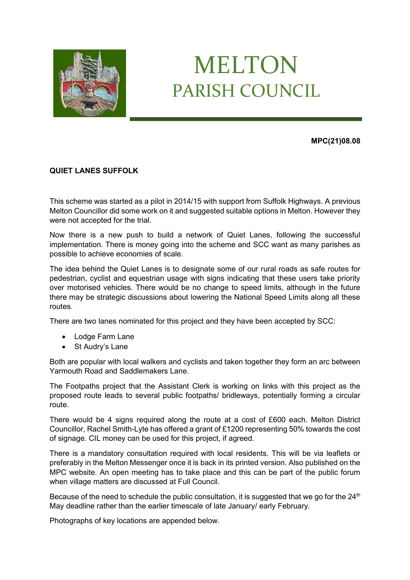

## MELTON PARISH COUNCIL

**MPC(21)08.08**

## **QUIET LANES SUFFOLK**

This scheme was started as a pilot in 2014/15 with support from Suffolk Highways. A previous Melton Councillor did some work on it and suggested suitable options in Melton. However they were not accepted for the trial.

Now there is a new push to build a network of Quiet Lanes, following the successful implementation. There is money going into the scheme and SCC want as many parishes as possible to achieve economies of scale.

The idea behind the Quiet Lanes is to designate some of our rural roads as safe routes for pedestrian, cyclist and equestrian usage with signs indicating that these users take priority over motorised vehicles. There would be no change to speed limits, although in the future there may be strategic discussions about lowering the National Speed Limits along all these routes.

There are two lanes nominated for this project and they have been accepted by SCC:

- Lodge Farm Lane
- St Audry's Lane

Both are popular with local walkers and cyclists and taken together they form an arc between Yarmouth Road and Saddlemakers Lane.

The Footpaths project that the Assistant Clerk is working on links with this project as the proposed route leads to several public footpaths/ bridleways, potentially forming a circular route.

There would be 4 signs required along the route at a cost of £600 each. Melton District Councillor, Rachel Smith-Lyte has offered a grant of £1200 representing 50% towards the cost of signage. CIL money can be used for this project, if agreed.

There is a mandatory consultation required with local residents. This will be via leaflets or preferably in the Melton Messenger once it is back in its printed version. Also published on the MPC website. An open meeting has to take place and this can be part of the public forum when village matters are discussed at Full Council.

Because of the need to schedule the public consultation, it is suggested that we go for the  $24<sup>th</sup>$ May deadline rather than the earlier timescale of late January/ early February.

Photographs of key locations are appended below.